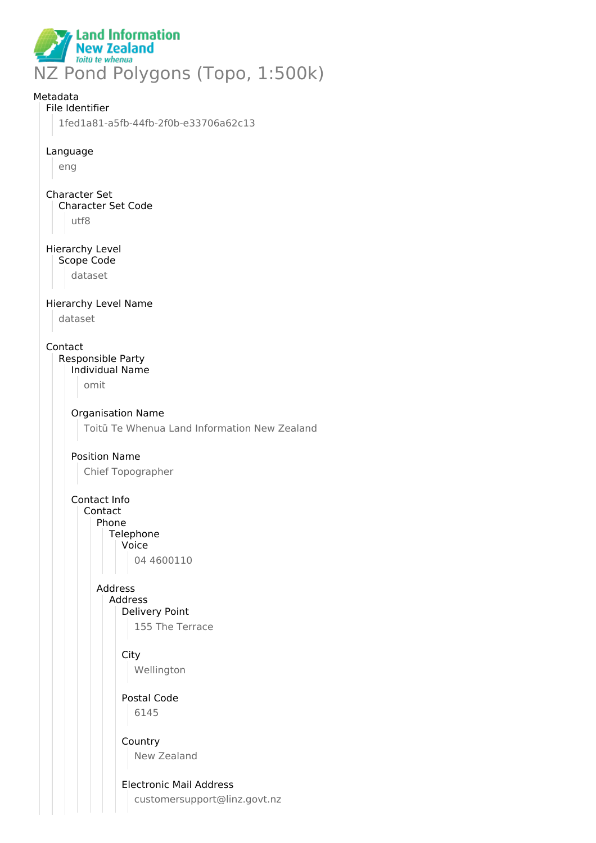

# Metadata File Identifier 1fed1a81-a5fb-44fb-2f0b-e33706a62c13 Language eng Character Set Character Set Code utf8 Hierarchy Level Scope Code dataset Hierarchy Level Name dataset Contact Responsible Party Individual Name omit Organisation Name Toitū Te Whenua Land Information New Zealand Position Name Chief Topographer Contact Info Contact Phone **Telephone** Voice 04 4600110 Address Address Delivery Point 155 The Terrace **City** Wellington Postal Code 6145 Country New Zealand Electronic Mail Address customersupport@linz.govt.nz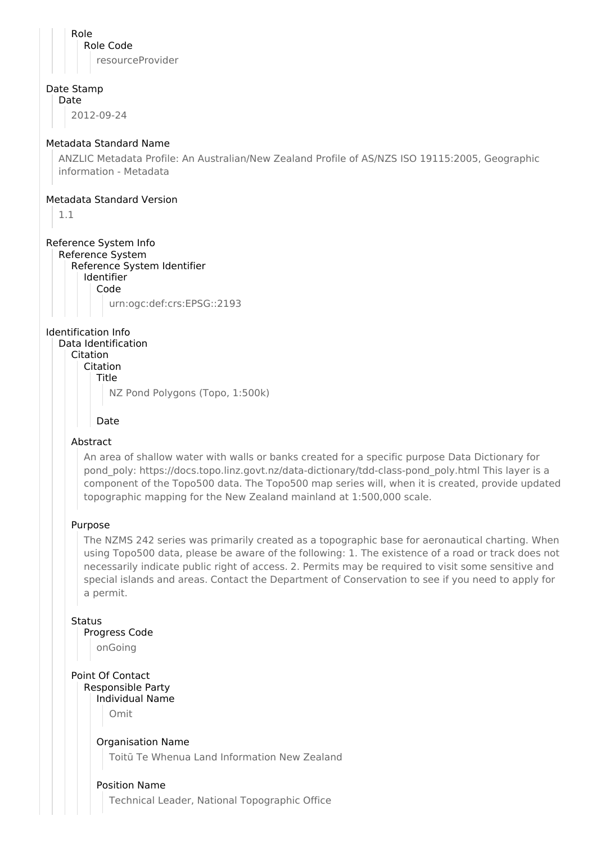Role Role Code resourceProvider

### Date Stamp

Date

2012-09-24

## Metadata Standard Name

ANZLIC Metadata Profile: An Australian/New Zealand Profile of AS/NZS ISO 19115:2005, Geographic information - Metadata

#### Metadata Standard Version

1.1

## Reference System Info

Reference System Reference System Identifier Identifier Code urn:ogc:def:crs:EPSG::2193

Identification Info

## Data Identification

Citation

Citation **Title** 

NZ Pond Polygons (Topo, 1:500k)

## Date

## Abstract

An area of shallow water with walls or banks created for a specific purpose Data Dictionary for pond\_poly: https://docs.topo.linz.govt.nz/data-dictionary/tdd-class-pond\_poly.html This layer is a component of the Topo500 data. The Topo500 map series will, when it is created, provide updated topographic mapping for the New Zealand mainland at 1:500,000 scale.

### Purpose

The NZMS 242 series was primarily created as a topographic base for aeronautical charting. When using Topo500 data, please be aware of the following: 1. The existence of a road or track does not necessarily indicate public right of access. 2. Permits may be required to visit some sensitive and special islands and areas. Contact the Department of Conservation to see if you need to apply for a permit.

### **Status**

## Progress Code

onGoing

## Point Of Contact Responsible Party

Individual Name Omit

### Organisation Name

Toitū Te Whenua Land Information New Zealand

## Position Name

Technical Leader, National Topographic Office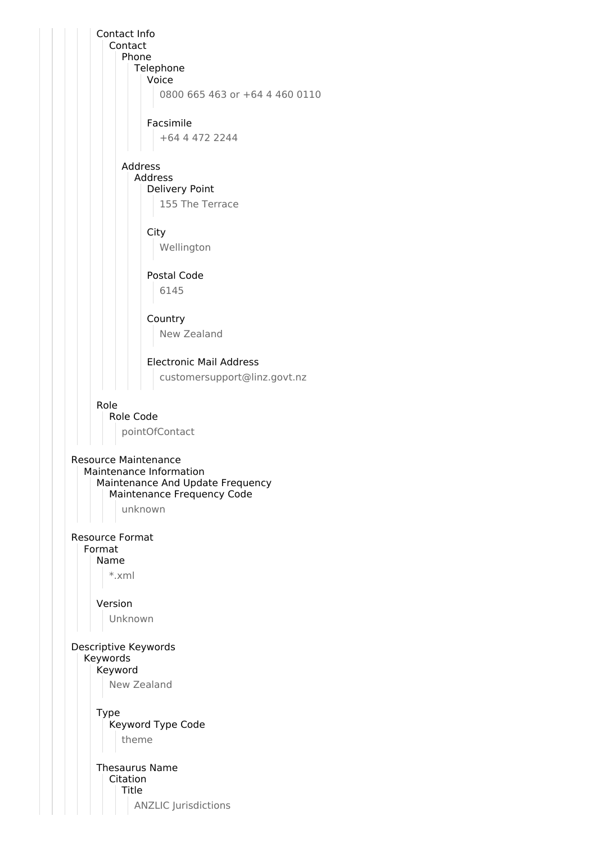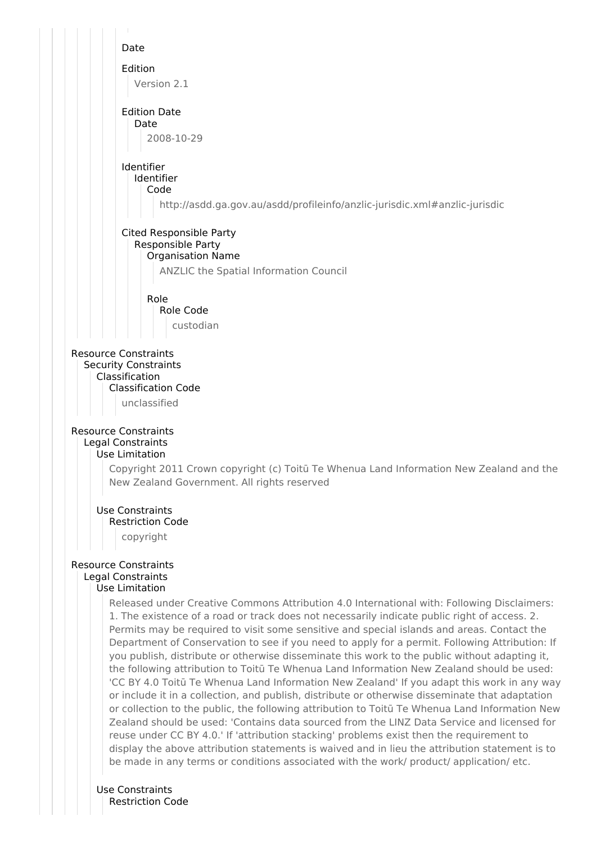

Use Constraints Restriction Code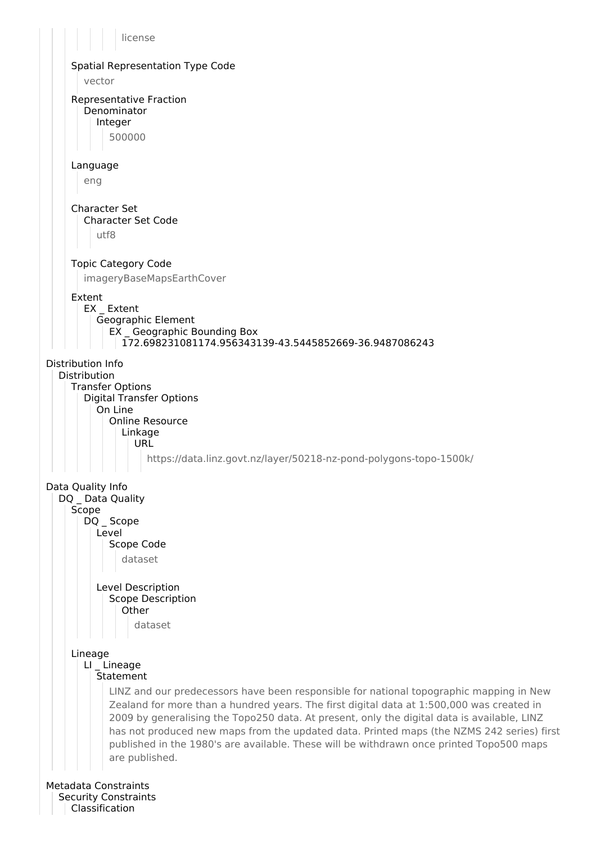license Spatial Representation Type Code vector Representative Fraction **Denominator** Integer 500000 Language eng Character Set Character Set Code utf8 Topic Category Code imageryBaseMapsEarthCover Extent EX \_ Extent Geographic Element EX \_ Geographic Bounding Box 172.698231081174.956343139-43.5445852669-36.9487086243 Distribution Info Distribution Transfer Options Digital Transfer Options On Line Online Resource Linkage URL https://data.linz.govt.nz/layer/50218-nz-pond-polygons-topo-1500k/ Data Quality Info DQ \_ Data Quality **Scope** DQ Scope Level Scope Code dataset Level Description Scope Description **Other** dataset Lineage LI Lineage **Statement** LINZ and our predecessors have been responsible for national topographic mapping in New Zealand for more than a hundred years. The first digital data at 1:500,000 was created in 2009 by generalising the Topo250 data. At present, only the digital data is available, LINZ has not produced new maps from the updated data. Printed maps (the NZMS 242 series) first published in the 1980's are available. These will be withdrawn once printed Topo500 maps are published. Metadata Constraints Security Constraints Classification